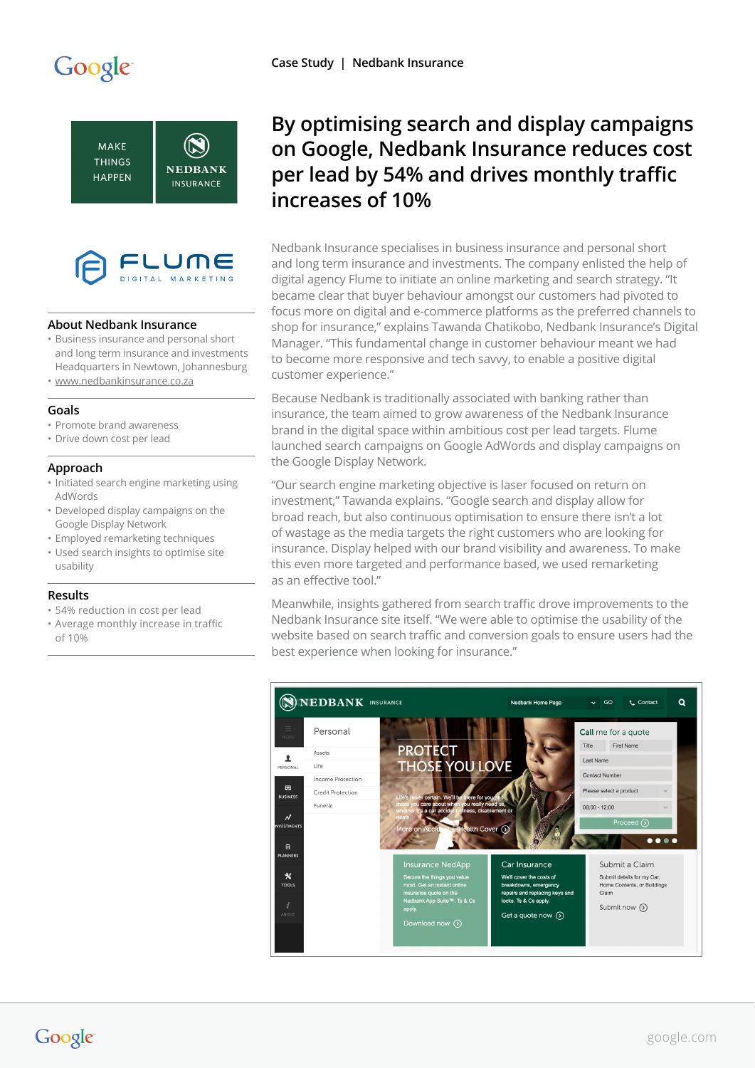# Google





## **About Nedbank Insurance**

- Business insurance and personal short and long term insurance and investments Headquarters in Newtown, Johannesburg
- [www.nedbankinsurance.co.za](http://www.nedbankinsurance.co.za)

## **Goals**

- Promote brand awareness
- Drive down cost per lead

#### **Approach**

- Initiated search engine marketing using AdWords
- Developed display campaigns on the Google Display Network
- Employed remarketing techniques
- Used search insights to optimise site usability

#### **Results**

- 54% reduction in cost per lead
- Average monthly increase in traffic of 10%

# **By optimising search and display campaigns on Google, Nedbank Insurance reduces cost per lead by 54% and drives monthly traffic increases of 10%**

Nedbank Insurance specialises in business insurance and personal short and long term insurance and investments. The company enlisted the help of digital agency Flume to initiate an online marketing and search strategy. "It became clear that buyer behaviour amongst our customers had pivoted to focus more on digital and e-commerce platforms as the preferred channels to shop for insurance," explains Tawanda Chatikobo, Nedbank Insurance's Digital Manager. "This fundamental change in customer behaviour meant we had to become more responsive and tech savvy, to enable a positive digital customer experience."

Because Nedbank is traditionally associated with banking rather than insurance, the team aimed to grow awareness of the Nedbank Insurance brand in the digital space within ambitious cost per lead targets. Flume launched search campaigns on Google AdWords and display campaigns on the Google Display Network.

"Our search engine marketing objective is laser focused on return on investment," Tawanda explains. "Google search and display allow for broad reach, but also continuous optimisation to ensure there isn't a lot of wastage as the media targets the right customers who are looking for insurance. Display helped with our brand visibility and awareness. To make this even more targeted and performance based, we used remarketing as an effective tool."

Meanwhile, insights gathered from search traffic drove improvements to the Nedbank Insurance site itself. "We were able to optimise the usability of the website based on search traffic and conversion goals to ensure users had the best experience when looking for insurance."